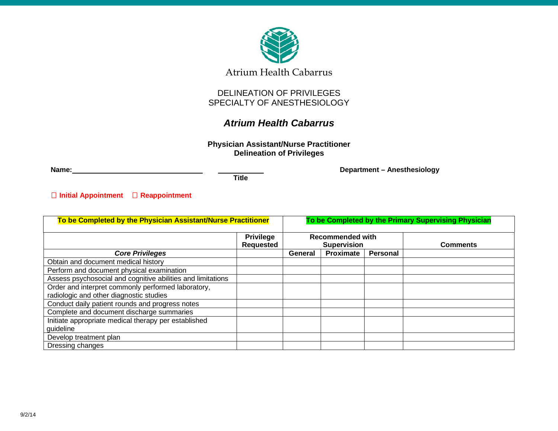

## DELINEATION OF PRIVILEGES SPECIALTY OF ANESTHESIOLOGY

# *Atrium Health Cabarrus*

**Physician Assistant/Nurse Practitioner Delineation of Privileges**

**Name: Department – Anesthesiology**

**Title**

**Initial Appointment Reappointment**

| To be Completed by the Physician Assistant/Nurse Practitioner |                  | To be Completed by the Primary Supervising Physician |                  |          |                 |
|---------------------------------------------------------------|------------------|------------------------------------------------------|------------------|----------|-----------------|
|                                                               | <b>Privilege</b> | <b>Recommended with</b>                              |                  |          |                 |
|                                                               | <b>Requested</b> | <b>Supervision</b>                                   |                  |          | <b>Comments</b> |
| <b>Core Privileges</b>                                        |                  | General                                              | <b>Proximate</b> | Personal |                 |
| Obtain and document medical history                           |                  |                                                      |                  |          |                 |
| Perform and document physical examination                     |                  |                                                      |                  |          |                 |
| Assess psychosocial and cognitive abilities and limitations   |                  |                                                      |                  |          |                 |
| Order and interpret commonly performed laboratory,            |                  |                                                      |                  |          |                 |
| radiologic and other diagnostic studies                       |                  |                                                      |                  |          |                 |
| Conduct daily patient rounds and progress notes               |                  |                                                      |                  |          |                 |
| Complete and document discharge summaries                     |                  |                                                      |                  |          |                 |
| Initiate appropriate medical therapy per established          |                  |                                                      |                  |          |                 |
| guideline                                                     |                  |                                                      |                  |          |                 |
| Develop treatment plan                                        |                  |                                                      |                  |          |                 |
| Dressing changes                                              |                  |                                                      |                  |          |                 |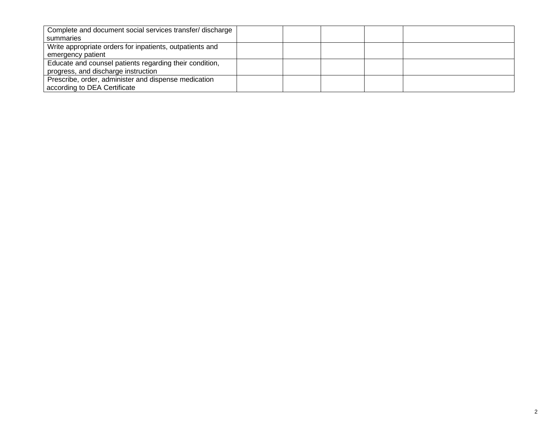| Complete and document social services transfer/discharge |  |  |  |
|----------------------------------------------------------|--|--|--|
| summaries                                                |  |  |  |
| Write appropriate orders for inpatients, outpatients and |  |  |  |
| emergency patient                                        |  |  |  |
| Educate and counsel patients regarding their condition,  |  |  |  |
| progress, and discharge instruction                      |  |  |  |
| Prescribe, order, administer and dispense medication     |  |  |  |
| according to DEA Certificate                             |  |  |  |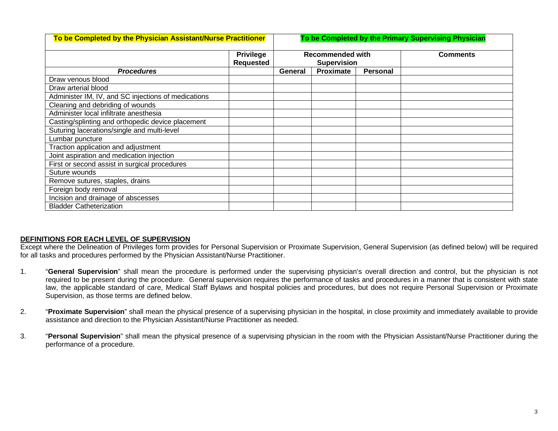| To be Completed by the Physician Assistant/Nurse Practitioner |                                      | To be Completed by the Primary Supervising Physician |           |          |                 |  |
|---------------------------------------------------------------|--------------------------------------|------------------------------------------------------|-----------|----------|-----------------|--|
|                                                               | <b>Privilege</b><br><b>Requested</b> | <b>Recommended with</b><br><b>Supervision</b>        |           |          | <b>Comments</b> |  |
| <b>Procedures</b>                                             |                                      | General                                              | Proximate | Personal |                 |  |
| Draw venous blood                                             |                                      |                                                      |           |          |                 |  |
| Draw arterial blood                                           |                                      |                                                      |           |          |                 |  |
| Administer IM, IV, and SC injections of medications           |                                      |                                                      |           |          |                 |  |
| Cleaning and debriding of wounds                              |                                      |                                                      |           |          |                 |  |
| Administer local infiltrate anesthesia                        |                                      |                                                      |           |          |                 |  |
| Casting/splinting and orthopedic device placement             |                                      |                                                      |           |          |                 |  |
| Suturing lacerations/single and multi-level                   |                                      |                                                      |           |          |                 |  |
| Lumbar puncture                                               |                                      |                                                      |           |          |                 |  |
| Traction application and adjustment                           |                                      |                                                      |           |          |                 |  |
| Joint aspiration and medication injection                     |                                      |                                                      |           |          |                 |  |
| First or second assist in surgical procedures                 |                                      |                                                      |           |          |                 |  |
| Suture wounds                                                 |                                      |                                                      |           |          |                 |  |
| Remove sutures, staples, drains                               |                                      |                                                      |           |          |                 |  |
| Foreign body removal                                          |                                      |                                                      |           |          |                 |  |
| Incision and drainage of abscesses                            |                                      |                                                      |           |          |                 |  |
| <b>Bladder Catheterization</b>                                |                                      |                                                      |           |          |                 |  |

### **DEFINITIONS FOR EACH LEVEL OF SUPERVISION**

Except where the Delineation of Privileges form provides for Personal Supervision or Proximate Supervision, General Supervision (as defined below) will be required for all tasks and procedures performed by the Physician Assistant/Nurse Practitioner.

- 1. "**General Supervision**" shall mean the procedure is performed under the supervising physician's overall direction and control, but the physician is not required to be present during the procedure. General supervision requires the performance of tasks and procedures in a manner that is consistent with state law, the applicable standard of care, Medical Staff Bylaws and hospital policies and procedures, but does not require Personal Supervision or Proximate Supervision, as those terms are defined below.
- 2. "**Proximate Supervision**" shall mean the physical presence of a supervising physician in the hospital, in close proximity and immediately available to provide assistance and direction to the Physician Assistant/Nurse Practitioner as needed.
- 3. "**Personal Supervision**" shall mean the physical presence of a supervising physician in the room with the Physician Assistant/Nurse Practitioner during the performance of a procedure.